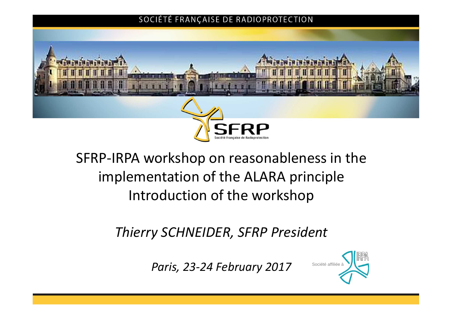#### SOCIÉTÉ FRANÇAISE DE RADIOPROTECTION



# SFRP-IRPA workshop on reasonableness in the implementation of the ALARA principle Introduction of the workshop

*Thierry SCHNEIDER, SFRP President*

Paris, 23-24 February 2017 Société affiliée à

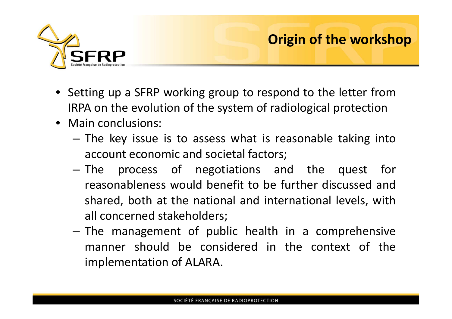

## **Origin of the workshop**

- Setting up a SFRP working group to respond to the letter from IRPA on the evolution of the system of radiological protection
- Main conclusions:
	- The key issue is to assess what is reasonable taking into account economic and societal factors;
	- The process of negotiations and the quest for reasonableness would benefit to be further discussed and shared, both at the national and international levels, with all concerned stakeholders;
	- The management of public health in a comprehensive manner should be considered in the context of the implementation of ALARA.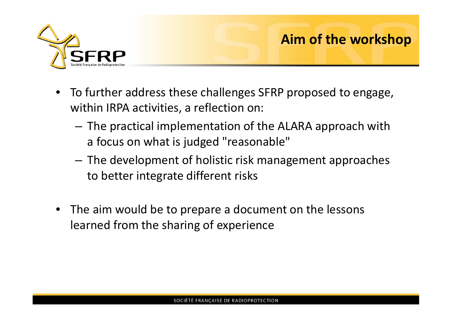

## **Aim of the workshop**

- To further address these challenges SFRP proposed to engage, within IRPA activities, a reflection on:
	- The practical implementation of the ALARA approach with a focus on what is judged "reasonable"
	- The development of holistic risk management approaches to better integrate different risks
- The aim would be to prepare a document on the lessons learned from the sharing of experience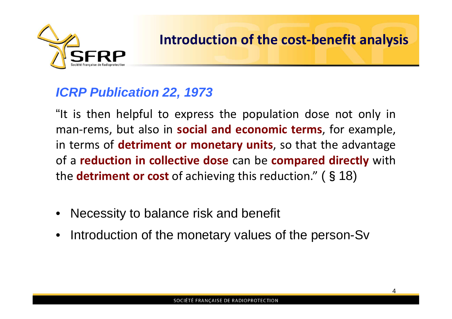

### *ICRP Publication 22, 1973*

"It is then helpful to express the population dose not only in man-rems, but also in **social and economic terms**, for example, in terms of **detriment or monetary units**, so that the advantage of a **reduction in collective dose** can be **compared directly** with the **detriment or cost** of achieving this reduction." (§18)

- Necessity to balance risk and benefit
- Introduction of the monetary values of the person-Sv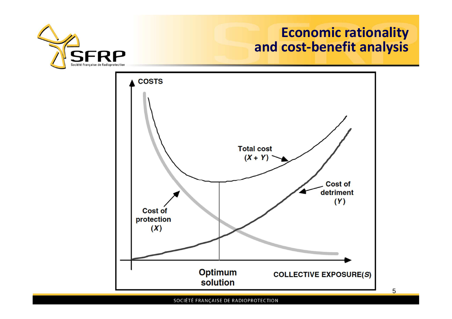

## **Economic rationality and cost-benefit analysis**

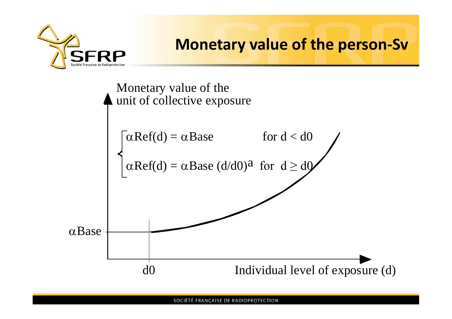

## **Monetary value of the person-Sv**

Monetary value of the unit of collective exposure Individual level of exposure (d) aBase d0  $\alpha$ Ref(d) =  $\alpha$ Base for d < d0  $\alpha \text{Ref}(d) = \alpha \text{Base} (d/d0)^a$  for  $d \geq d0$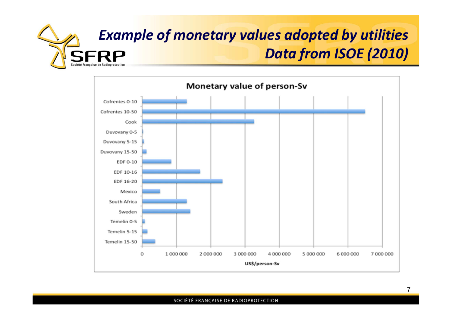

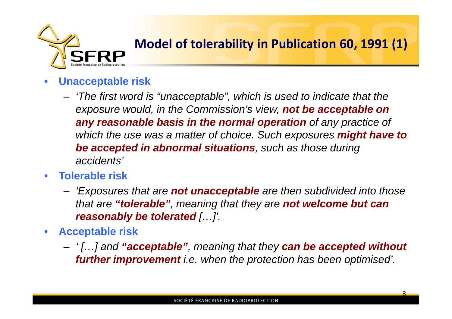

## **Model of tolerability in Publication 60, 1991 (1)**

- **Unacceptable risk**
	- *'The first word is "unacceptable", which is used to indicate that the exposure would, in the Commission's view, not be acceptable on any reasonable basis in the normal operation of any practice of which the use was a matter of choice. Such exposures might have to be accepted in abnormal situations, such as those during accidents'*
- **Tolerable risk**
	- *'Exposures that are not unacceptable are then subdivided into those that are "tolerable", meaning that they are not welcome but can reasonably be tolerated […]'.*
- **Acceptable risk**
	- *' […] and "acceptable", meaning that they can be accepted without further improvement i.e. when the protection has been optimised'.*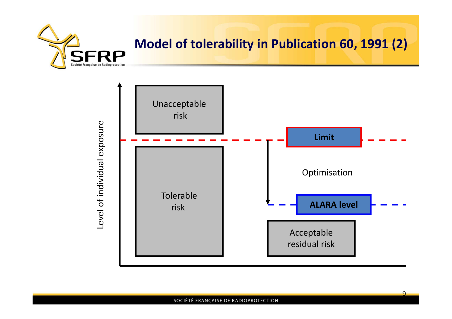

## **Model of tolerability in Publication 60, 1991 (2)**

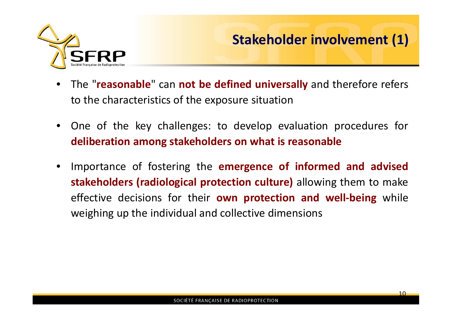

## **Stakeholder involvement (1)**

- The "**reasonable**" can **not be defined universally** and therefore refers to the characteristics of the exposure situation
- One of the key challenges: to develop evaluation procedures for **deliberation among stakeholders on what is reasonable**
- Importance of fostering the **emergence of informed and advised stakeholders (radiological protection culture)** allowing them to make effective decisions for their **own protection and well-being** while weighing up the individual and collective dimensions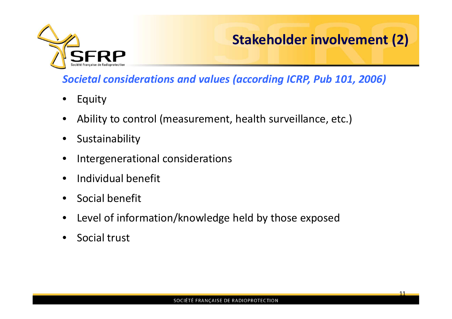

## **Stakeholder involvement (2)**

11

#### *Societal considerations and values (according ICRP, Pub 101, 2006)*

- Equity
- Ability to control (measurement, health surveillance, etc.)
- Sustainability
- Intergenerational considerations
- Individual benefit
- Social benefit
- Level of information/knowledge held by those exposed
- Social trust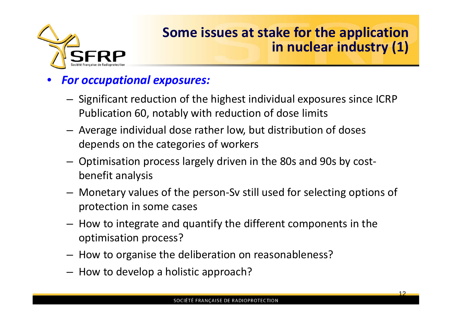

## **Some issues at stake for the application in nuclear industry (1)**

#### • *For occupational exposures:*

- Significant reduction of the highest individual exposures since ICRP Publication 60, notably with reduction of dose limits
- Average individual dose rather low, but distribution of doses depends on the categories of workers
- Optimisation process largely driven in the 80s and 90s by costbenefit analysis
- Monetary values of the person-Sv still used for selecting options of protection in some cases
- How to integrate and quantify the different components in the optimisation process?
- How to organise the deliberation on reasonableness?
- How to develop a holistic approach?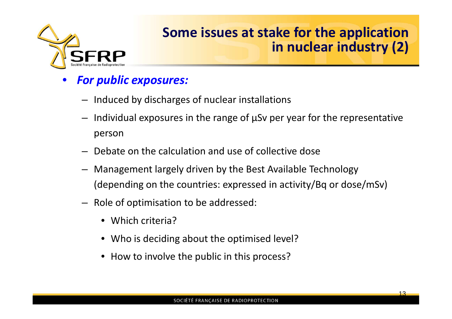

## **Some issues at stake for the application in nuclear industry (2)**

#### • *For public exposures:*

- Induced by discharges of nuclear installations
- Individual exposures in the range of  $\mu$ Sv per year for the representative person
- Debate on the calculation and use of collective dose
- Management largely driven by the Best Available Technology (depending on the countries: expressed in activity/Bq or dose/mSv)
- Role of optimisation to be addressed:
	- Which criteria?
	- Who is deciding about the optimised level?
	- How to involve the public in this process?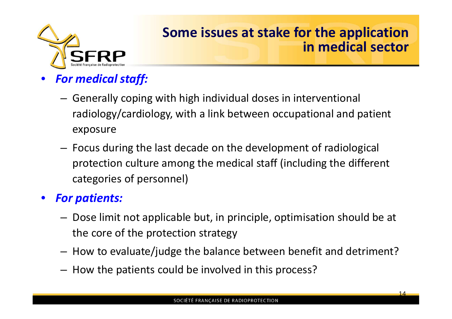

## **Some issues at stake for the application in medical sector**

- *For medical staff:*
	- Generally coping with high individual doses in interventional radiology/cardiology, with a link between occupational and patient exposure
	- Focus during the last decade on the development of radiological protection culture among the medical staff (including the different categories of personnel)

#### • *For patients:*

- Dose limit not applicable but, in principle, optimisation should be at the core of the protection strategy
- How to evaluate/judge the balance between benefit and detriment?
- How the patients could be involved in this process?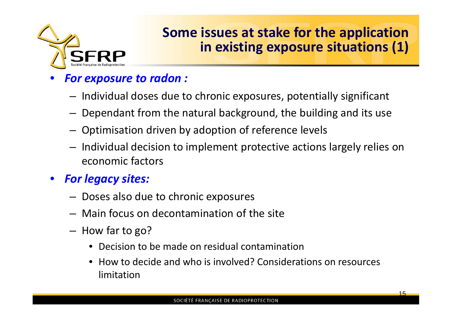

## **Some issues at stake for the application in existing exposure situations (1)**

#### • *For exposure to radon :*

- Individual doses due to chronic exposures, potentially significant
- Dependant from the natural background, the building and its use
- Optimisation driven by adoption of reference levels
- Individual decision to implement protective actions largely relies on economic factors
- *For legacy sites:*
	- Doses also due to chronic exposures
	- Main focus on decontamination of the site
	- How far to go?
		- Decision to be made on residual contamination
		- How to decide and who is involved? Considerations on resources limitation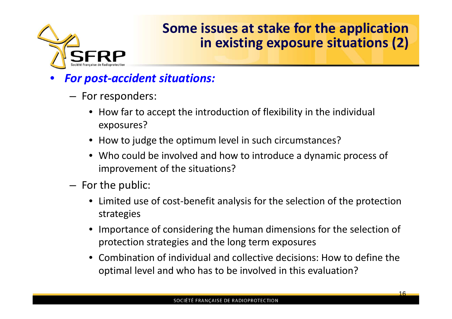

## **Some issues at stake for the application in existing exposure situations (2)**

- *For post-accident situations:*
	- For responders:
		- How far to accept the introduction of flexibility in the individual exposures?
		- How to judge the optimum level in such circumstances?
		- Who could be involved and how to introduce a dynamic process of improvement of the situations?
	- For the public:
		- Limited use of cost-benefit analysis for the selection of the protection strategies
		- Importance of considering the human dimensions for the selection of protection strategies and the long term exposures
		- Combination of individual and collective decisions: How to define the optimal level and who has to be involved in this evaluation?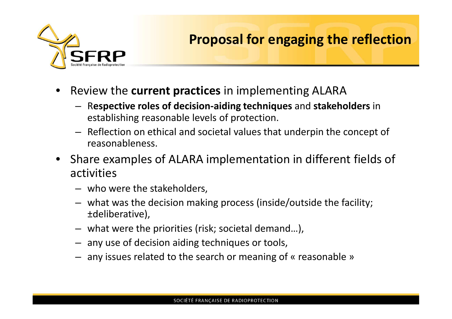

## **Proposal for engaging the reflection**

- Review the **current practices** in implementing ALARA
	- R**espective roles of decision-aiding techniques** and **stakeholders** in establishing reasonable levels of protection.
	- Reflection on ethical and societal values that underpin the concept of reasonableness.
- Share examples of ALARA implementation in different fields of activities
	- who were the stakeholders,
	- what was the decision making process (inside/outside the facility; ±deliberative),
	- what were the priorities (risk; societal demand…),
	- any use of decision aiding techniques or tools,
	- any issues related to the search or meaning of « reasonable »